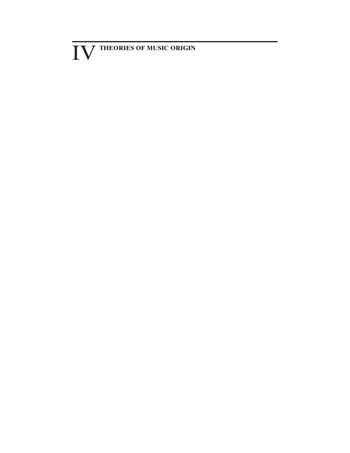# IV **THEORIES OF MUSIC ORIGIN**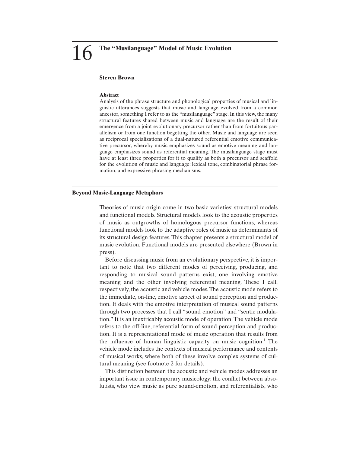# 16 **The "Musilanguage" Model of Music Evolution**

#### **Steven Brown**

#### **Abstract**

Analysis of the phrase structure and phonological properties of musical and linguistic utterances suggests that music and language evolved from a common ancestor, something I refer to as the "musilanguage" stage. In this view, the many structural features shared between music and language are the result of their emergence from a joint evolutionary precursor rather than from fortuitous parallelism or from one function begetting the other. Music and language are seen as reciprocal specializations of a dual-natured referential emotive communicative precursor, whereby music emphasizes sound as emotive meaning and language emphasizes sound as referential meaning. The musilanguage stage must have at least three properties for it to qualify as both a precursor and scaffold for the evolution of music and language: lexical tone, combinatorial phrase formation, and expressive phrasing mechanisms.

#### **Beyond Music-Language Metaphors**

Theories of music origin come in two basic varieties: structural models and functional models. Structural models look to the acoustic properties of music as outgrowths of homologous precursor functions, whereas functional models look to the adaptive roles of music as determinants of its structural design features. This chapter presents a structural model of music evolution. Functional models are presented elsewhere (Brown in press).

Before discussing music from an evolutionary perspective, it is important to note that two different modes of perceiving, producing, and responding to musical sound patterns exist, one involving emotive meaning and the other involving referential meaning. These I call, respectively, the acoustic and vehicle modes. The acoustic mode refers to the immediate, on-line, emotive aspect of sound perception and production. It deals with the emotive interpretation of musical sound patterns through two processes that I call "sound emotion" and "sentic modulation." It is an inextricably acoustic mode of operation. The vehicle mode refers to the off-line, referential form of sound perception and production. It is a representational mode of music operation that results from the influence of human linguistic capacity on music cognition.<sup>1</sup> The vehicle mode includes the contexts of musical performance and contents of musical works, where both of these involve complex systems of cultural meaning (see footnote 2 for details).

This distinction between the acoustic and vehicle modes addresses an important issue in contemporary musicology: the conflict between absolutists, who view music as pure sound-emotion, and referentialists, who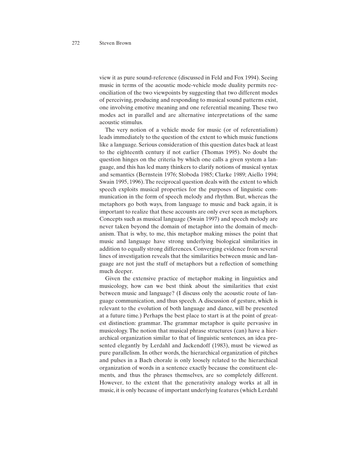view it as pure sound-reference (discussed in Feld and Fox 1994). Seeing music in terms of the acoustic mode-vehicle mode duality permits reconciliation of the two viewpoints by suggesting that two different modes of perceiving, producing and responding to musical sound patterns exist, one involving emotive meaning and one referential meaning. These two modes act in parallel and are alternative interpretations of the same acoustic stimulus.

The very notion of a vehicle mode for music (or of referentialism) leads immediately to the question of the extent to which music functions like a language. Serious consideration of this question dates back at least to the eighteenth century if not earlier (Thomas 1995). No doubt the question hinges on the criteria by which one calls a given system a language, and this has led many thinkers to clarify notions of musical syntax and semantics (Bernstein 1976; Sloboda 1985; Clarke 1989; Aiello 1994; Swain 1995, 1996). The reciprocal question deals with the extent to which speech exploits musical properties for the purposes of linguistic communication in the form of speech melody and rhythm. But, whereas the metaphors go both ways, from language to music and back again, it is important to realize that these accounts are only ever seen as metaphors. Concepts such as musical language (Swain 1997) and speech melody are never taken beyond the domain of metaphor into the domain of mechanism. That is why, to me, this metaphor making misses the point that music and language have strong underlying biological similarities in addition to equally strong differences. Converging evidence from several lines of investigation reveals that the similarities between music and language are not just the stuff of metaphors but a reflection of something much deeper.

Given the extensive practice of metaphor making in linguistics and musicology, how can we best think about the similarities that exist between music and language? (I discuss only the acoustic route of language communication, and thus speech. A discussion of gesture, which is relevant to the evolution of both language and dance, will be presented at a future time.) Perhaps the best place to start is at the point of greatest distinction: grammar. The grammar metaphor is quite pervasive in musicology. The notion that musical phrase structures (can) have a hierarchical organization similar to that of linguistic sentences, an idea presented elegantly by Lerdahl and Jackendoff (1983), must be viewed as pure parallelism. In other words, the hierarchical organization of pitches and pulses in a Bach chorale is only loosely related to the hierarchical organization of words in a sentence exactly because the constituent elements, and thus the phrases themselves, are so completely different. However, to the extent that the generativity analogy works at all in music, it is only because of important underlying features (which Lerdahl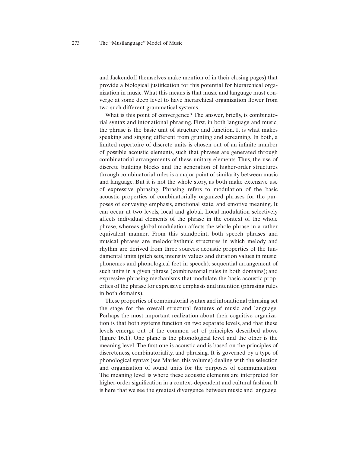and Jackendoff themselves make mention of in their closing pages) that provide a biological justification for this potential for hierarchical organization in music. What this means is that music and language must converge at some deep level to have hierarchical organization flower from two such different grammatical systems.

What is this point of convergence? The answer, briefly, is combinatorial syntax and intonational phrasing. First, in both language and music, the phrase is the basic unit of structure and function. It is what makes speaking and singing different from grunting and screaming. In both, a limited repertoire of discrete units is chosen out of an infinite number of possible acoustic elements, such that phrases are generated through combinatorial arrangements of these unitary elements. Thus, the use of discrete building blocks and the generation of higher-order structures through combinatorial rules is a major point of similarity between music and language. But it is not the whole story, as both make extensive use of expressive phrasing. Phrasing refers to modulation of the basic acoustic properties of combinatorially organized phrases for the purposes of conveying emphasis, emotional state, and emotive meaning. It can occur at two levels, local and global. Local modulation selectively affects individual elements of the phrase in the context of the whole phrase, whereas global modulation affects the whole phrase in a rather equivalent manner. From this standpoint, both speech phrases and musical phrases are melodorhythmic structures in which melody and rhythm are derived from three sources: acoustic properties of the fundamental units (pitch sets, intensity values and duration values in music; phonemes and phonological feet in speech); sequential arrangement of such units in a given phrase (combinatorial rules in both domains); and expressive phrasing mechanisms that modulate the basic acoustic properties of the phrase for expressive emphasis and intention (phrasing rules in both domains).

These properties of combinatorial syntax and intonational phrasing set the stage for the overall structural features of music and language. Perhaps the most important realization about their cognitive organization is that both systems function on two separate levels, and that these levels emerge out of the common set of principles described above (figure 16.1). One plane is the phonological level and the other is the meaning level. The first one is acoustic and is based on the principles of discreteness, combinatoriality, and phrasing. It is governed by a type of phonological syntax (see Marler, this volume) dealing with the selection and organization of sound units for the purposes of communication. The meaning level is where these acoustic elements are interpreted for higher-order signification in a context-dependent and cultural fashion. It is here that we see the greatest divergence between music and language,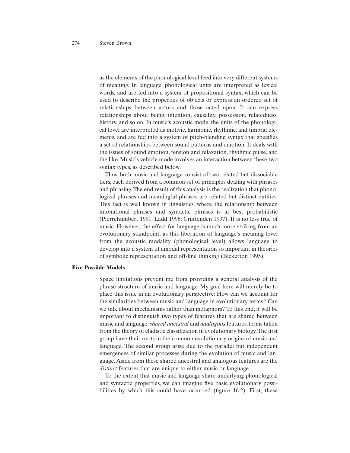as the elements of the phonological level feed into very different systems of meaning. In language, phonological units are interpreted as lexical words, and are fed into a system of propositional syntax, which can be used to describe the properties of objects or express an ordered set of relationships between actors and those acted upon. It can express relationships about being, intention, causality, possession, relatedness, history, and so on. In music's acoustic mode, the units of the phonological level are interpreted as motivic, harmonic, rhythmic, and timbral elements, and are fed into a system of pitch-blending syntax that specifies a set of relationships between sound patterns and emotion. It deals with the issues of sound emotion, tension and relaxation, rhythmic pulse, and the like. Music's vehicle mode involves an interaction between these two syntax types, as described below.

Thus, both music and language consist of two related but dissociable tiers, each derived from a common set of principles dealing with phrases and phrasing.The end result of this analysis is the realization that phonological phrases and meaningful phrases are related but distinct entities. This fact is well known in linguistics, where the relationship between intonational phrases and syntactic phrases is at best probabilistic (Pierrehumbert 1991; Ladd 1996; Cruttenden 1997). It is no less true of music. However, the effect for language is much more striking from an evolutionary standpoint, as this liberation of language's meaning level from the acoustic modality (phonological level) allows language to develop into a system of amodal representation so important in theories of symbolic representation and off-line thinking (Bickerton 1995).

# **Five Possible Models**

Space limitations prevent me from providing a general analysis of the phrase structure of music and language. My goal here will merely be to place this issue in an evolutionary perspective: How can we account for the similarities between music and language in evolutionary terms? Can we talk about mechanisms rather than metaphors? To this end, it will be important to distinguish two types of features that are shared between music and language:*shared ancestral* and *analogous* features, terms taken from the theory of cladistic classification in evolutionary biology.The first group have their roots in the common evolutionary origins of music and language. The second group arise due to the parallel but independent emergences of similar processes during the evolution of music and language. Aside from these shared ancestral and analogous features are the *distinct* features that are unique to either music or language.

To the extent that music and language share underlying phonological and syntactic properties, we can imagine five basic evolutionary possibilities by which this could have occurred (figure 16.2). First, these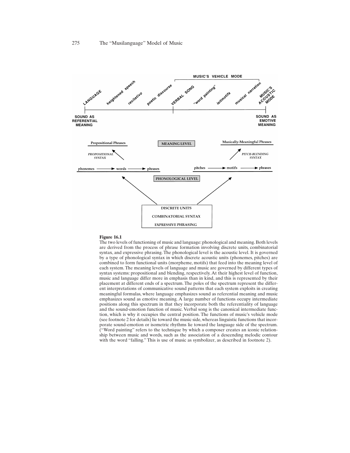

#### **Figure 16.1**

The two levels of functioning of music and language: phonological and meaning. Both levels are derived from the process of phrase formation involving discrete units, combinatorial syntax, and expressive phrasing. The phonological level is the acoustic level. It is governed by a type of phonological syntax in which discrete acoustic units (phonemes, pitches) are combined to form functional units (morpheme, motifs) that feed into the meaning level of each system. The meaning levels of language and music are governed by different types of syntax systems: propositional and blending, respectively. At their highest level of function, music and language differ more in emphasis than in kind, and this is represented by their placement at different ends of a spectrum. The poles of the spectrum represent the different interpretations of communicative sound patterns that each system exploits in creating meaningful formulas, where language emphasizes sound as referential meaning and music emphasizes sound as emotive meaning. A large number of functions occupy intermediate positions along this spectrum in that they incorporate both the referentiality of language and the sound-emotion function of music. Verbal song is the canonical intermediate function, which is why it occupies the central position. The functions of music's vehicle mode (see footnote 2 for details) lie toward the music side, whereas linguistic functions that incorporate sound-emotion or isometric rhythms lie toward the language side of the spectrum. ("Word painting" refers to the technique by which a composer creates an iconic relationship between music and words, such as the association of a descending melodic contour with the word "falling." This is use of music as symbolizer, as described in footnote 2).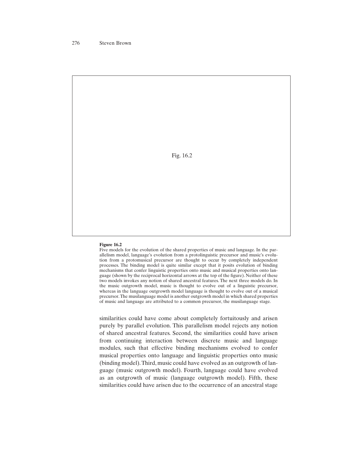Fig. 16.2

#### **Figure 16.2**

Five models for the evolution of the shared properties of music and language. In the parallelism model, language's evolution from a protolinguistic precursor and music's evolution from a protomusical precursor are thought to occur by completely independent processes. The binding model is quite similar except that it posits evolution of binding mechanisms that confer linguistic properties onto music and musical properties onto language (shown by the reciprocal horizontal arrows at the top of the figure). Neither of these two models invokes any notion of shared ancestral features. The next three models do. In the music outgrowth model, music is thought to evolve out of a linguistic precursor, whereas in the language outgrowth model language is thought to evolve out of a musical precursor.The musilanguage model is another outgrowth model in which shared properties of music and language are attributed to a common precursor, the musilanguage stage.

similarities could have come about completely fortuitously and arisen purely by parallel evolution. This parallelism model rejects any notion of shared ancestral features. Second, the similarities could have arisen from continuing interaction between discrete music and language modules, such that effective binding mechanisms evolved to confer musical properties onto language and linguistic properties onto music (binding model).Third, music could have evolved as an outgrowth of language (music outgrowth model). Fourth, language could have evolved as an outgrowth of music (language outgrowth model). Fifth, these similarities could have arisen due to the occurrence of an ancestral stage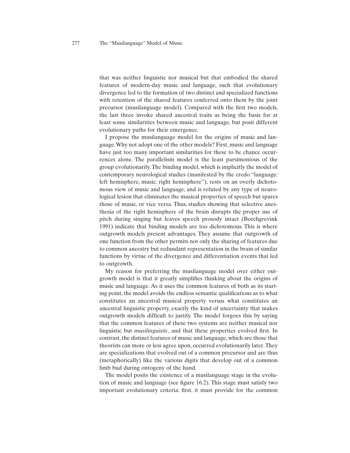that was neither linguistic nor musical but that embodied the shared features of modern-day music and language, such that evolutionary divergence led to the formation of two distinct and specialized functions with retention of the shared features conferred onto them by the joint precursor (musilanguage model). Compared with the first two models, the last three invoke shared ancestral traits as being the basis for at least some similarities between music and language, but posit different evolutionary paths for their emergence.

I propose the musilanguage model for the origins of music and language.Why not adopt one of the other models? First, music and language have just too many important similarities for these to be chance occurrences alone. The parallelism model is the least parsimonious of the group evolutionarily. The binding model, which is implicitly the model of contemporary neurological studies (manifested by the credo "language: left hemisphere, music: right hemisphere"), rests on an overly dichotomous view of music and language, and is refuted by any type of neurological lesion that eliminates the musical properties of speech but spares those of music, or vice versa. Thus, studies showing that selective anesthesia of the right hemisphere of the brain disrupts the proper use of pitch during singing but leaves speech prosody intact (Borchgrevink 1991) indicate that binding models are too dichotomous. This is where outgrowth models present advantages. They assume that outgrowth of one function from the other permits not only the sharing of features due to common ancestry but redundant representation in the brain of similar functions by virtue of the divergence and differentiation events that led to outgrowth.

My reason for preferring the musilanguage model over either outgrowth model is that it greatly simplifies thinking about the origins of music and language. As it uses the common features of both as its starting point, the model avoids the endless semantic qualifications as to what constitutes an ancestral musical property versus what constitutes an ancestral linguistic property, exactly the kind of uncertainty that makes outgrowth models difficult to justify. The model forgoes this by saying that the common features of these two systems are neither musical nor linguistic but *musilinguistic*, and that these properties evolved first. In contrast, the distinct features of music and language, which are those that theorists can more or less agree upon, occurred evolutionarily later.They are specializations that evolved out of a common precursor and are thus (metaphorically) like the various digits that develop out of a common limb bud during ontogeny of the hand.

The model posits the existence of a musilanguage stage in the evolution of music and language (see figure 16.2). This stage must satisfy two important evolutionary criteria: first, it must provide for the common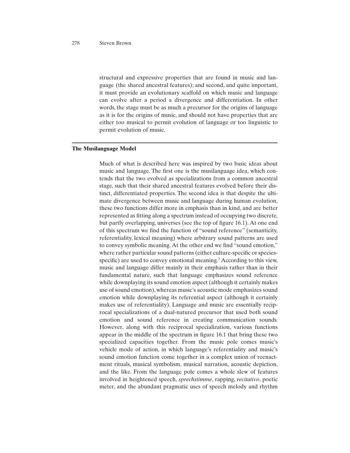structural and expressive properties that are found in music and language (the shared ancestral features); and second, and quite important, it must provide an evolutionary scaffold on which music and language can evolve after a period a divergence and differentiation. In other words, the stage must be as much a precursor for the origins of language as it is for the origins of music, and should not have properties that are either too musical to permit evolution of language or too linguistic to permit evolution of music.

# **The Musilanguage Model**

Much of what is described here was inspired by two basic ideas about music and language. The first one is the musilanguage idea, which contends that the two evolved as specializations from a common ancestral stage, such that their shared ancestral features evolved before their distinct, differentiated properties. The second idea is that despite the ultimate divergence between music and language during human evolution, these two functions differ more in emphasis than in kind, and are better represented as fitting along a spectrum instead of occupying two discrete, but partly overlapping, universes (see the top of figure 16.1). At one end of this spectrum we find the function of "sound reference" (semanticity, referentiality, lexical meaning) where arbitrary sound patterns are used to convey symbolic meaning. At the other end we find "sound emotion," where rather particular sound patterns (either culture-specific or speciesspecific) are used to convey emotional meaning.<sup>3</sup> According to this view, music and language differ mainly in their emphasis rather than in their fundamental nature, such that language emphasizes sound reference while downplaying its sound emotion aspect (although it certainly makes use of sound emotion), whereas music's acoustic mode emphasizes sound emotion while downplaying its referential aspect (although it certainly makes use of referentiality). Language and music are essentially reciprocal specializations of a dual-natured precursor that used both sound emotion and sound reference in creating communication sounds. However, along with this reciprocal specialization, various functions appear in the middle of the spectrum in figure 16.1 that bring these two specialized capacities together. From the music pole comes music's vehicle mode of action, in which language's referentiality and music's sound emotion function come together in a complex union of reenactment rituals, musical symbolism, musical narration, acoustic depiction, and the like. From the language pole comes a whole slew of features involved in heightened speech, *sprechstimme*, rapping, *recitativo*, poetic meter, and the abundant pragmatic uses of speech melody and rhythm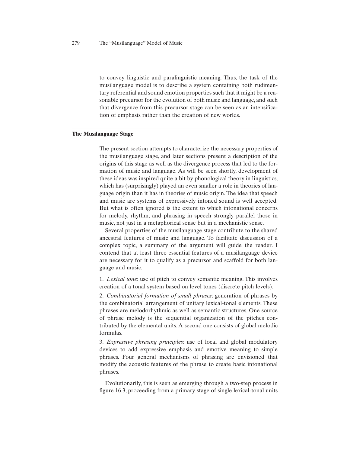to convey linguistic and paralinguistic meaning. Thus, the task of the musilanguage model is to describe a system containing both rudimentary referential and sound emotion properties such that it might be a reasonable precursor for the evolution of both music and language, and such that divergence from this precursor stage can be seen as an intensification of emphasis rather than the creation of new worlds.

# **The Musilanguage Stage**

The present section attempts to characterize the necessary properties of the musilanguage stage, and later sections present a description of the origins of this stage as well as the divergence process that led to the formation of music and language. As will be seen shortly, development of these ideas was inspired quite a bit by phonological theory in linguistics, which has (surprisingly) played an even smaller a role in theories of language origin than it has in theories of music origin. The idea that speech and music are systems of expressively intoned sound is well accepted. But what is often ignored is the extent to which intonational concerns for melody, rhythm, and phrasing in speech strongly parallel those in music, not just in a metaphorical sense but in a mechanistic sense.

Several properties of the musilanguage stage contribute to the shared ancestral features of music and language. To facilitate discussion of a complex topic, a summary of the argument will guide the reader. I contend that at least three essential features of a musilanguage device are necessary for it to qualify as a precursor and scaffold for both language and music.

1. *Lexical tone*: use of pitch to convey semantic meaning. This involves creation of a tonal system based on level tones (discrete pitch levels).

2. *Combinatorial formation of small phrases*: generation of phrases by the combinatorial arrangement of unitary lexical-tonal elements. These phrases are melodorhythmic as well as semantic structures. One source of phrase melody is the sequential organization of the pitches contributed by the elemental units. A second one consists of global melodic formulas.

3. *Expressive phrasing principles*: use of local and global modulatory devices to add expressive emphasis and emotive meaning to simple phrases. Four general mechanisms of phrasing are envisioned that modify the acoustic features of the phrase to create basic intonational phrases.

Evolutionarily, this is seen as emerging through a two-step process in figure 16.3, proceeding from a primary stage of single lexical-tonal units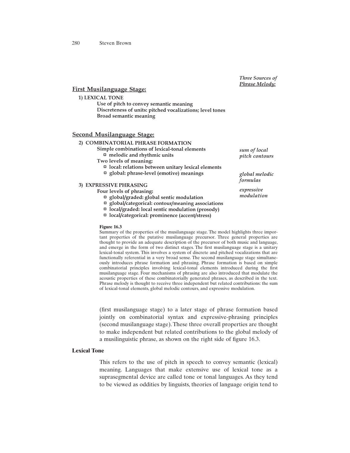Three Sources of Phrase Melody:

# **First Musilanguage Stage:**

# 1) LEXICAL TONE

Use of pitch to convey semantic meaning Discreteness of units: pitched vocalizations; level tones Broad semantic meaning

# **Second Musilanguage Stage:**

#### 2) COMBINATORIAL PHRASE FORMATION

Simple combinations of lexical-tonal elements

- ¤ melodic and rhythmic units
- Two levels of meaning:
	- ¤ local: relations between unitary lexical elements
	- ¤ global: phrase-level (emotive) meanings

#### 3) EXPRESSIVE PHRASING

Four levels of phrasing:

- ¤ global/graded: global sentic modulation
- $\alpha$  global/categorical: contour/meaning associations
- $\alpha$  local/graded: local sentic modulation (prosody)
- ¤ local/categorical: prominence (accent/stress)

#### **Figure 16.3**

Summary of the properties of the musilanguage stage. The model highlights three important properties of the putative musilanguage precursor. Three general properties are thought to provide an adequate description of the precursor of both music and language, and emerge in the form of two distinct stages. The first musilanguage stage is a unitary lexical-tonal system. This involves a system of discrete and pitched vocalizations that are functionally referential in a very broad sense. The second musilanguage stage simultaneously introduces phrase formation and phrasing. Phrase formation is based on simple combinatorial principles involving lexical-tonal elements introduced during the first musilanguage stage. Four mechanisms of phrasing are also introduced that modulate the acoustic properties of these combinatorially generated phrases, as described in the text. Phrase melody is thought to receive three independent but related contributions: the sum of lexical-tonal elements, global melodic contours, and expressive modulation.

(first musilanguage stage) to a later stage of phrase formation based jointly on combinatorial syntax and expressive-phrasing principles (second musilanguage stage). These three overall properties are thought to make independent but related contributions to the global melody of a musilinguistic phrase, as shown on the right side of figure 16.3.

#### **Lexical Tone**

This refers to the use of pitch in speech to convey semantic (lexical) meaning. Languages that make extensive use of lexical tone as a suprasegmental device are called tone or tonal languages. As they tend to be viewed as oddities by linguists, theories of language origin tend to

sum of local *pitch* contours

global melodic formulas

expressive modulation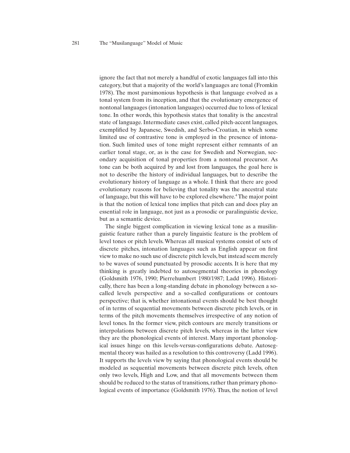ignore the fact that not merely a handful of exotic languages fall into this category, but that a majority of the world's languages are tonal (Fromkin 1978). The most parsimonious hypothesis is that language evolved as a tonal system from its inception, and that the evolutionary emergence of nontonal languages (intonation languages) occurred due to loss of lexical tone. In other words, this hypothesis states that tonality is the ancestral state of language. Intermediate cases exist, called pitch-accent languages, exemplified by Japanese, Swedish, and Serbo-Croatian, in which some limited use of contrastive tone is employed in the presence of intonation. Such limited uses of tone might represent either remnants of an earlier tonal stage, or, as is the case for Swedish and Norwegian, secondary acquisition of tonal properties from a nontonal precursor. As tone can be both acquired by and lost from languages, the goal here is not to describe the history of individual languages, but to describe the evolutionary history of language as a whole. I think that there are good evolutionary reasons for believing that tonality was the ancestral state of language, but this will have to be explored elsewhere.4The major point is that the notion of lexical tone implies that pitch can and does play an essential role in language, not just as a prosodic or paralinguistic device, but as a semantic device.

The single biggest complication in viewing lexical tone as a musilinguistic feature rather than a purely linguistic feature is the problem of level tones or pitch levels. Whereas all musical systems consist of sets of discrete pitches, intonation languages such as English appear on first view to make no such use of discrete pitch levels, but instead seem merely to be waves of sound punctuated by prosodic accents. It is here that my thinking is greatly indebted to autosegmental theories in phonology (Goldsmith 1976, 1990; Pierrehumbert 1980/1987; Ladd 1996). Historically, there has been a long-standing debate in phonology between a socalled levels perspective and a so-called configurations or contours perspective; that is, whether intonational events should be best thought of in terms of sequential movements between discrete pitch levels, or in terms of the pitch movements themselves irrespective of any notion of level tones. In the former view, pitch contours are merely transitions or interpolations between discrete pitch levels, whereas in the latter view they are the phonological events of interest. Many important phonological issues hinge on this levels-versus-configurations debate. Autosegmental theory was hailed as a resolution to this controversy (Ladd 1996). It supports the levels view by saying that phonological events should be modeled as sequential movements between discrete pitch levels, often only two levels, High and Low, and that all movements between them should be reduced to the status of transitions, rather than primary phonological events of importance (Goldsmith 1976). Thus, the notion of level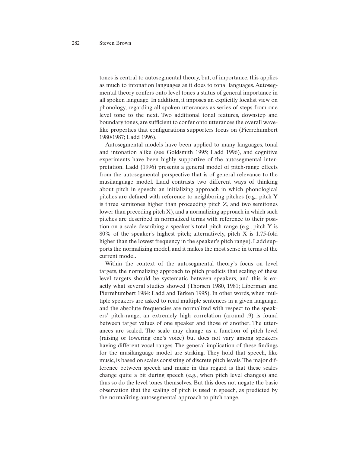tones is central to autosegmental theory, but, of importance, this applies as much to intonation languages as it does to tonal languages. Autosegmental theory confers onto level tones a status of general importance in all spoken language. In addition, it imposes an explicitly localist view on phonology, regarding all spoken utterances as series of steps from one level tone to the next. Two additional tonal features, downstep and boundary tones, are sufficient to confer onto utterances the overall wavelike properties that configurations supporters focus on (Pierrehumbert 1980/1987; Ladd 1996).

Autosegmental models have been applied to many languages, tonal and intonation alike (see Goldsmith 1995; Ladd 1996), and cognitive experiments have been highly supportive of the autosegmental interpretation. Ladd (1996) presents a general model of pitch-range effects from the autosegmental perspective that is of general relevance to the musilanguage model. Ladd contrasts two different ways of thinking about pitch in speech: an initializing approach in which phonological pitches are defined with reference to neighboring pitches (e.g., pitch Y is three semitones higher than proceeding pitch Z, and two semitones lower than preceding pitch  $X$ ), and a normalizing approach in which such pitches are described in normalized terms with reference to their position on a scale describing a speaker's total pitch range (e.g., pitch Y is 80% of the speaker's highest pitch; alternatively, pitch X is 1.75-fold higher than the lowest frequency in the speaker's pitch range). Ladd supports the normalizing model, and it makes the most sense in terms of the current model.

Within the context of the autosegmental theory's focus on level targets, the normalizing approach to pitch predicts that scaling of these level targets should be systematic between speakers, and this is exactly what several studies showed (Thorsen 1980, 1981; Liberman and Pierrehumbert 1984; Ladd and Terken 1995). In other words, when multiple speakers are asked to read multiple sentences in a given language, and the absolute frequencies are normalized with respect to the speakers' pitch-range, an extremely high correlation (around .9) is found between target values of one speaker and those of another. The utterances are scaled. The scale may change as a function of pitch level (raising or lowering one's voice) but does not vary among speakers having different vocal ranges. The general implication of these findings for the musilanguage model are striking. They hold that speech, like music, is based on scales consisting of discrete pitch levels.The major difference between speech and music in this regard is that these scales change quite a bit during speech (e.g., when pitch level changes) and thus so do the level tones themselves. But this does not negate the basic observation that the scaling of pitch is used in speech, as predicted by the normalizing-autosegmental approach to pitch range.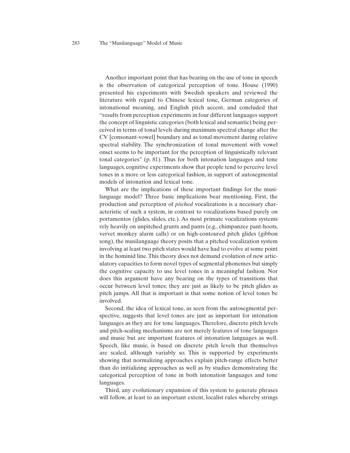Another important point that has bearing on the use of tone in speech is the observation of categorical perception of tone. House (1990) presented his experiments with Swedish speakers and reviewed the literature with regard to Chinese lexical tone, German categories of intonational meaning, and English pitch accent, and concluded that "results from perception experiments in four different languages support the concept of linguistic categories (both lexical and semantic) being perceived in terms of tonal levels during maximum spectral change after the CV [consonant-vowel] boundary and as tonal movement during relative spectral stability. The synchronization of tonal movement with vowel onset seems to be important for the perception of linguistically relevant tonal categories" (p. 81). Thus for both intonation languages and tone languages, cognitive experiments show that people tend to perceive level tones in a more or less categorical fashion, in support of autosegmental models of intonation and lexical tone.

What are the implications of these important findings for the musilanguage model? Three basic implications bear mentioning. First, the production and perception of *pitched* vocalizations is a necessary characteristic of such a system, in contrast to vocalizations based purely on portamentos (glides, slides, etc.). As most primate vocalizations systems rely heavily on unpitched grunts and pants (e.g., chimpanzee pant-hoots, vervet monkey alarm calls) or on high-contoured pitch glides (gibbon song), the musilanguage theory posits that a pitched vocalization system involving at least two pitch states would have had to evolve at some point in the hominid line. This theory does not demand evolution of new articulatory capacities to form novel types of segmental phonemes but simply the cognitive capacity to use level tones in a meaningful fashion. Nor does this argument have any bearing on the types of transitions that occur between level tones; they are just as likely to be pitch glides as pitch jumps. All that is important is that some notion of level tones be involved.

Second, the idea of lexical tone, as seen from the autosegmental perspective, suggests that level tones are just as important for intonation languages as they are for tone languages. Therefore, discrete pitch levels and pitch-scaling mechanisms are not merely features of tone languages and music but are important features of intonation languages as well. Speech, like music, is based on discrete pitch levels that themselves are scaled, although variably so. This is supported by experiments showing that normalizing approaches explain pitch-range effects better than do initializing approaches as well as by studies demonstrating the categorical perception of tone in both intonation languages and tone languages.

Third, any evolutionary expansion of this system to generate phrases will follow, at least to an important extent, localist rules whereby strings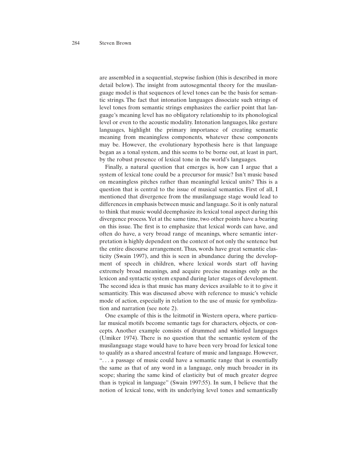are assembled in a sequential, stepwise fashion (this is described in more detail below). The insight from autosegmental theory for the musilanguage model is that sequences of level tones can be the basis for semantic strings. The fact that intonation languages dissociate such strings of level tones from semantic strings emphasizes the earlier point that language's meaning level has no obligatory relationship to its phonological level or even to the acoustic modality. Intonation languages, like gesture languages, highlight the primary importance of creating semantic meaning from meaningless components, whatever these components may be. However, the evolutionary hypothesis here is that language began as a tonal system, and this seems to be borne out, at least in part, by the robust presence of lexical tone in the world's languages.

Finally, a natural question that emerges is, how can I argue that a system of lexical tone could be a precursor for music? Isn't music based on meaningless pitches rather than meaningful lexical units? This is a question that is central to the issue of musical semantics. First of all, I mentioned that divergence from the musilanguage stage would lead to differences in emphasis between music and language. So it is only natural to think that music would deemphasize its lexical tonal aspect during this divergence process.Yet at the same time, two other points have a bearing on this issue. The first is to emphasize that lexical words can have, and often do have, a very broad range of meanings, where semantic interpretation is highly dependent on the context of not only the sentence but the entire discourse arrangement. Thus, words have great semantic elasticity (Swain 1997), and this is seen in abundance during the development of speech in children, where lexical words start off having extremely broad meanings, and acquire precise meanings only as the lexicon and syntactic system expand during later stages of development. The second idea is that music has many devices available to it to give it semanticity. This was discussed above with reference to music's vehicle mode of action, especially in relation to the use of music for symbolization and narration (see note 2).

One example of this is the leitmotif in Western opera, where particular musical motifs become semantic tags for characters, objects, or concepts. Another example consists of drummed and whistled languages (Umiker 1974). There is no question that the semantic system of the musilanguage stage would have to have been very broad for lexical tone to qualify as a shared ancestral feature of music and language. However, ". . . a passage of music could have a semantic range that is essentially the same as that of any word in a language, only much broader in its scope; sharing the same kind of elasticity but of much greater degree than is typical in language" (Swain 1997:55). In sum, I believe that the notion of lexical tone, with its underlying level tones and semantically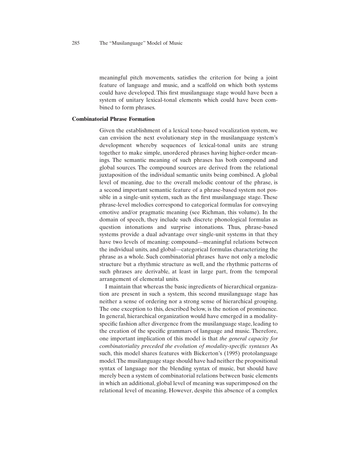meaningful pitch movements, satisfies the criterion for being a joint feature of language and music, and a scaffold on which both systems could have developed. This first musilanguage stage would have been a system of unitary lexical-tonal elements which could have been combined to form phrases.

# **Combinatorial Phrase Formation**

Given the establishment of a lexical tone-based vocalization system, we can envision the next evolutionary step in the musilanguage system's development whereby sequences of lexical-tonal units are strung together to make simple, unordered phrases having higher-order meanings. The semantic meaning of such phrases has both compound and global sources. The compound sources are derived from the relational juxtaposition of the individual semantic units being combined. A global level of meaning, due to the overall melodic contour of the phrase, is a second important semantic feature of a phrase-based system not possible in a single-unit system, such as the first musilanguage stage. These phrase-level melodies correspond to categorical formulas for conveying emotive and/or pragmatic meaning (see Richman, this volume). In the domain of speech, they include such discrete phonological formulas as question intonations and surprise intonations. Thus, phrase-based systems provide a dual advantage over single-unit systems in that they have two levels of meaning: compound—meaningful relations between the individual units, and global—categorical formulas characterizing the phrase as a whole. Such combinatorial phrases have not only a melodic structure but a rhythmic structure as well, and the rhythmic patterns of such phrases are derivable, at least in large part, from the temporal arrangement of elemental units.

I maintain that whereas the basic ingredients of hierarchical organization are present in such a system, this second musilanguage stage has neither a sense of ordering nor a strong sense of hierarchical grouping. The one exception to this, described below, is the notion of prominence. In general, hierarchical organization would have emerged in a modalityspecific fashion after divergence from the musilanguage stage, leading to the creation of the specific grammars of language and music. Therefore, one important implication of this model is that *the general capacity for combinatoriality preceded the evolution of modality-specific syntaxes* As such, this model shares features with Bickerton's (1995) protolanguage model.The musilanguage stage should have had neither the propositional syntax of language nor the blending syntax of music, but should have merely been a system of combinatorial relations between basic elements in which an additional, global level of meaning was superimposed on the relational level of meaning. However, despite this absence of a complex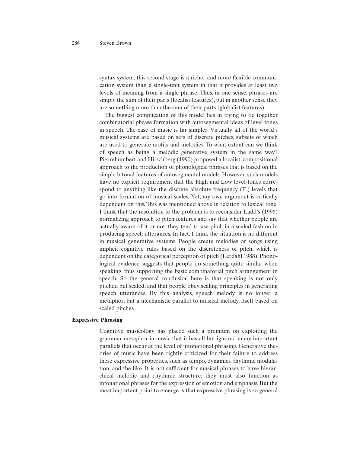syntax system, this second stage is a richer and more flexible communication system than a single-unit system in that it provides at least two levels of meaning from a single phrase. Thus, in one sense, phrases are simply the sum of their parts (localist features), but in another sense they are something more than the sum of their parts (globalist features).

The biggest complication of this model lies in trying to tie together combinatorial phrase formation with autosegmental ideas of level tones in speech. The case of music is far simpler. Virtually all of the world's musical systems are based on sets of discrete pitches, subsets of which are used to generate motifs and melodies. To what extent can we think of speech as being a melodic generative system in the same way? Pierrehumbert and Hirschberg (1990) proposed a localist, compositional approach to the production of phonological phrases that is based on the simple bitonal features of autosegmental models. However, such models have no explicit requirement that the High and Low level-tones correspond to anything like the discrete absolute-frequency  $(F_0)$  levels that go into formation of musical scales. Yet, my own argument is critically dependent on this. This was mentioned above in relation to lexical tone. I think that the resolution to the problem is to reconsider Ladd's (1996) normalizing approach to pitch features and say that whether people are actually aware of it or not, they tend to use pitch in a scaled fashion in producing speech utterances. In fact, I think the situation is no different in musical generative systems. People create melodies or songs using implicit cognitive rules based on the discreteness of pitch, which is dependent on the categorical perception of pitch (Lerdahl 1988). Phonological evidence suggests that people do something quite similar when speaking, thus supporting the basic combinatorial pitch arrangement in speech. So the general conclusion here is that speaking is not only pitched but scaled, and that people obey scaling principles in generating speech utterances. By this analysis, speech melody is no longer a metaphor, but a mechanistic parallel to musical melody, itself based on scaled pitches.

#### **Expressive Phrasing**

Cognitive musicology has placed such a premium on exploiting the grammar metaphor in music that it has all but ignored many important parallels that occur at the level of intonational phrasing. Generative theories of music have been rightly criticized for their failure to address these expressive properties, such as tempo, dynamics, rhythmic modulation, and the like. It is not sufficient for musical phrases to have hierarchical melodic and rhythmic structure; they must also function as intonational phrases for the expression of emotion and emphasis. But the most important point to emerge is that expressive phrasing is so general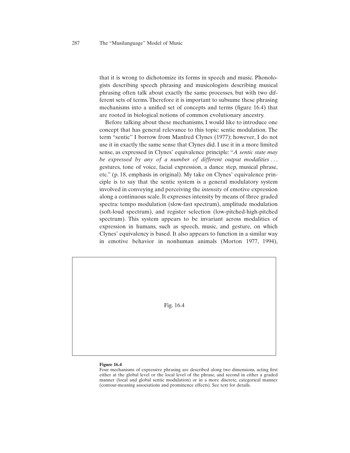that it is wrong to dichotomize its forms in speech and music. Phonologists describing speech phrasing and musicologists describing musical phrasing often talk about exactly the same processes, but with two different sets of terms. Therefore it is important to subsume these phrasing mechanisms into a unified set of concepts and terms (figure 16.4) that are rooted in biological notions of common evolutionary ancestry.

Before talking about these mechanisms, I would like to introduce one concept that has general relevance to this topic: sentic modulation. The term "sentic" I borrow from Manfred Clynes (1977); however, I do not use it in exactly the same sense that Clynes did. I use it in a more limited sense, as expressed in Clynes' equivalence principle: "*A sentic state may be expressed by any of a number of different output modalities* ... gestures, tone of voice, facial expression, a dance step, musical phrase, etc." (p. 18, emphasis in original). My take on Clynes' equivalence principle is to say that the sentic system is a general modulatory system involved in conveying and perceiving the *intensity* of emotive expression along a continuous scale. It expresses intensity by means of three graded spectra: tempo modulation (slow-fast spectrum), amplitude modulation (soft-loud spectrum), and register selection (low-pitched-high-pitched spectrum). This system appears to be invariant across modalities of expression in humans, such as speech, music, and gesture, on which Clynes' equivalency is based. It also appears to function in a similar way in emotive behavior in nonhuman animals (Morton 1977, 1994),

Fig. 16.4

#### **Figure 16.4**

Four mechanisms of expressive phrasing are described along two dimensions, acting first either at the global level or the local level of the phrase, and second in either a graded manner (local and global sentic modulation) or in a more discrete, categorical manner (contour-meaning associations and prominence effects). See text for details.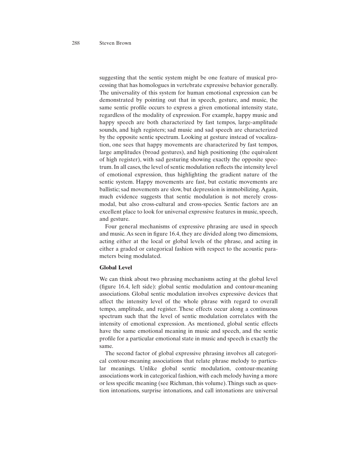suggesting that the sentic system might be one feature of musical processing that has homologues in vertebrate expressive behavior generally. The universality of this system for human emotional expression can be demonstrated by pointing out that in speech, gesture, and music, the same sentic profile occurs to express a given emotional intensity state, regardless of the modality of expression. For example, happy music and happy speech are both characterized by fast tempos, large-amplitude sounds, and high registers; sad music and sad speech are characterized by the opposite sentic spectrum. Looking at gesture instead of vocalization, one sees that happy movements are characterized by fast tempos, large amplitudes (broad gestures), and high positioning (the equivalent of high register), with sad gesturing showing exactly the opposite spectrum. In all cases, the level of sentic modulation reflects the intensity level of emotional expression, thus highlighting the gradient nature of the sentic system. Happy movements are fast, but ecstatic movements are ballistic; sad movements are slow, but depression is immobilizing. Again, much evidence suggests that sentic modulation is not merely crossmodal, but also cross-cultural and cross-species. Sentic factors are an excellent place to look for universal expressive features in music, speech, and gesture.

Four general mechanisms of expressive phrasing are used in speech and music. As seen in figure 16.4, they are divided along two dimensions, acting either at the local or global levels of the phrase, and acting in either a graded or categorical fashion with respect to the acoustic parameters being modulated.

# **Global Level**

We can think about two phrasing mechanisms acting at the global level (figure 16.4, left side): global sentic modulation and contour-meaning associations. Global sentic modulation involves expressive devices that affect the intensity level of the whole phrase with regard to overall tempo, amplitude, and register. These effects occur along a continuous spectrum such that the level of sentic modulation correlates with the intensity of emotional expression. As mentioned, global sentic effects have the same emotional meaning in music and speech, and the sentic profile for a particular emotional state in music and speech is exactly the same.

The second factor of global expressive phrasing involves all categorical contour-meaning associations that relate phrase melody to particular meanings. Unlike global sentic modulation, contour-meaning associations work in categorical fashion, with each melody having a more or less specific meaning (see Richman, this volume).Things such as question intonations, surprise intonations, and call intonations are universal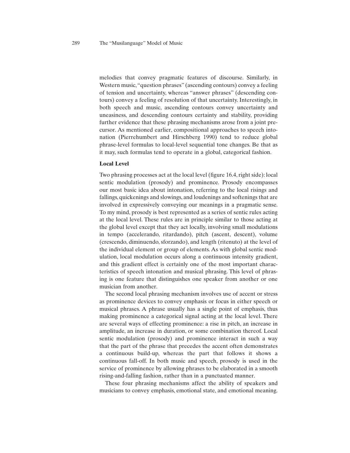melodies that convey pragmatic features of discourse. Similarly, in Western music,"question phrases" (ascending contours) convey a feeling of tension and uncertainty, whereas "answer phrases" (descending contours) convey a feeling of resolution of that uncertainty. Interestingly, in both speech and music, ascending contours convey uncertainty and uneasiness, and descending contours certainty and stability, providing further evidence that these phrasing mechanisms arose from a joint precursor. As mentioned earlier, compositional approaches to speech intonation (Pierrehumbert and Hirschberg 1990) tend to reduce global phrase-level formulas to local-level sequential tone changes. Be that as it may, such formulas tend to operate in a global, categorical fashion.

#### **Local Level**

Two phrasing processes act at the local level (figure 16.4, right side): local sentic modulation (prosody) and prominence. Prosody encompasses our most basic idea about intonation, referring to the local risings and fallings, quickenings and slowings, and loudenings and softenings that are involved in expressively conveying our meanings in a pragmatic sense. To my mind, prosody is best represented as a series of sentic rules acting at the local level. These rules are in principle similar to those acting at the global level except that they act locally, involving small modulations in tempo (accelerando, ritardando), pitch (ascent, descent), volume (crescendo, diminuendo, sforzando), and length (ritenuto) at the level of the individual element or group of elements. As with global sentic modulation, local modulation occurs along a continuous intensity gradient, and this gradient effect is certainly one of the most important characteristics of speech intonation and musical phrasing. This level of phrasing is one feature that distinguishes one speaker from another or one musician from another.

The second local phrasing mechanism involves use of accent or stress as prominence devices to convey emphasis or focus in either speech or musical phrases. A phrase usually has a single point of emphasis, thus making prominence a categorical signal acting at the local level. There are several ways of effecting prominence: a rise in pitch, an increase in amplitude, an increase in duration, or some combination thereof. Local sentic modulation (prosody) and prominence interact in such a way that the part of the phrase that precedes the accent often demonstrates a continuous build-up, whereas the part that follows it shows a continuous fall-off. In both music and speech, prosody is used in the service of prominence by allowing phrases to be elaborated in a smooth rising-and-falling fashion, rather than in a punctuated manner.

These four phrasing mechanisms affect the ability of speakers and musicians to convey emphasis, emotional state, and emotional meaning.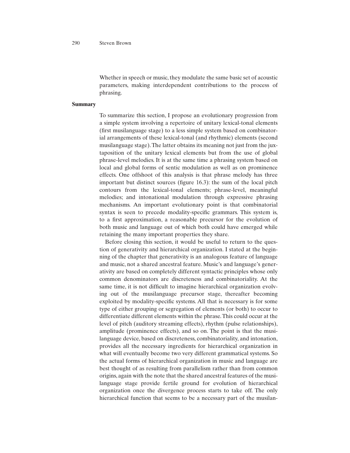Whether in speech or music, they modulate the same basic set of acoustic parameters, making interdependent contributions to the process of phrasing.

#### **Summary**

To summarize this section, I propose an evolutionary progression from a simple system involving a repertoire of unitary lexical-tonal elements (first musilanguage stage) to a less simple system based on combinatorial arrangements of these lexical-tonal (and rhythmic) elements (second musilanguage stage).The latter obtains its meaning not just from the juxtaposition of the unitary lexical elements but from the use of global phrase-level melodies. It is at the same time a phrasing system based on local and global forms of sentic modulation as well as on prominence effects. One offshoot of this analysis is that phrase melody has three important but distinct sources (figure 16.3): the sum of the local pitch contours from the lexical-tonal elements; phrase-level, meaningful melodies; and intonational modulation through expressive phrasing mechanisms. An important evolutionary point is that combinatorial syntax is seen to precede modality-specific grammars. This system is, to a first approximation, a reasonable precursor for the evolution of both music and language out of which both could have emerged while retaining the many important properties they share.

Before closing this section, it would be useful to return to the question of generativity and hierarchical organization. I stated at the beginning of the chapter that generativity is an analogous feature of language and music, not a shared ancestral feature. Music's and language's generativity are based on completely different syntactic principles whose only common denominators are discreteness and combinatoriality. At the same time, it is not difficult to imagine hierarchical organization evolving out of the musilanguage precursor stage, thereafter becoming exploited by modality-specific systems. All that is necessary is for some type of either grouping or segregation of elements (or both) to occur to differentiate different elements within the phrase.This could occur at the level of pitch (auditory streaming effects), rhythm (pulse relationships), amplitude (prominence effects), and so on. The point is that the musilanguage device, based on discreteness, combinatoriality, and intonation, provides all the necessary ingredients for hierarchical organization in what will eventually become two very different grammatical systems. So the actual forms of hierarchical organization in music and language are best thought of as resulting from parallelism rather than from common origins, again with the note that the shared ancestral features of the musilanguage stage provide fertile ground for evolution of hierarchical organization once the divergence process starts to take off. The only hierarchical function that seems to be a necessary part of the musilan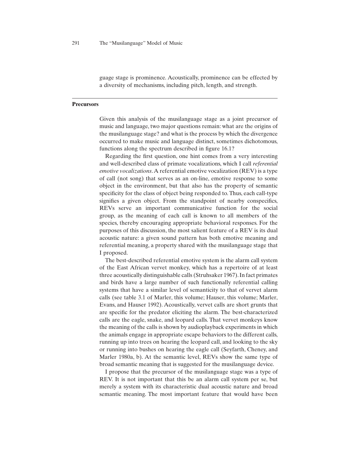guage stage is prominence. Acoustically, prominence can be effected by a diversity of mechanisms, including pitch, length, and strength.

#### **Precursors**

Given this analysis of the musilanguage stage as a joint precursor of music and language, two major questions remain: what are the origins of the musilanguage stage? and what is the process by which the divergence occurred to make music and language distinct, sometimes dichotomous, functions along the spectrum described in figure 16.1?

Regarding the first question, one hint comes from a very interesting and well-described class of primate vocalizations, which I call *referential emotive vocalizations*.A referential emotive vocalization (REV) is a type of call (not song) that serves as an on-line, emotive response to some object in the environment, but that also has the property of semantic specificity for the class of object being responded to. Thus, each call-type signifies a given object. From the standpoint of nearby conspecifics, REVs serve an important communicative function for the social group, as the meaning of each call is known to all members of the species, thereby encouraging appropriate behavioral responses. For the purposes of this discussion, the most salient feature of a REV is its dual acoustic nature: a given sound pattern has both emotive meaning and referential meaning, a property shared with the musilanguage stage that I proposed.

The best-described referential emotive system is the alarm call system of the East African vervet monkey, which has a repertoire of at least three acoustically distinguishable calls (Struhsaker 1967). In fact primates and birds have a large number of such functionally referential calling systems that have a similar level of semanticity to that of vervet alarm calls (see table 3.1 of Marler, this volume; Hauser, this volume; Marler, Evans, and Hauser 1992). Acoustically, vervet calls are short grunts that are specific for the predator eliciting the alarm. The best-characterized calls are the eagle, snake, and leopard calls. That vervet monkeys know the meaning of the calls is shown by audioplayback experiments in which the animals engage in appropriate escape behaviors to the different calls, running up into trees on hearing the leopard call, and looking to the sky or running into bushes on hearing the eagle call (Seyfarth, Cheney, and Marler 1980a, b). At the semantic level, REVs show the same type of broad semantic meaning that is suggested for the musilanguage device.

I propose that the precursor of the musilanguage stage was a type of REV. It is not important that this be an alarm call system per se, but merely a system with its characteristic dual acoustic nature and broad semantic meaning. The most important feature that would have been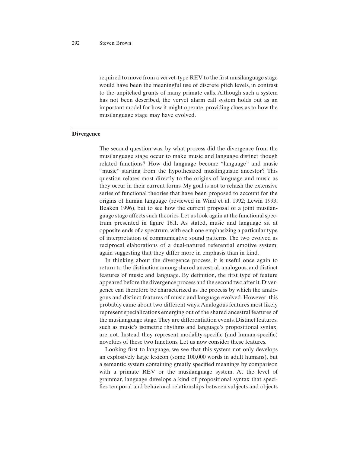required to move from a vervet-type REV to the first musilanguage stage would have been the meaningful use of discrete pitch levels, in contrast to the unpitched grunts of many primate calls. Although such a system has not been described, the vervet alarm call system holds out as an important model for how it might operate, providing clues as to how the musilanguage stage may have evolved.

# **Divergence**

The second question was, by what process did the divergence from the musilanguage stage occur to make music and language distinct though related functions? How did language become "language" and music "music" starting from the hypothesized musilinguistic ancestor? This question relates most directly to the origins of language and music as they occur in their current forms. My goal is not to rehash the extensive series of functional theories that have been proposed to account for the origins of human language (reviewed in Wind et al. 1992; Lewin 1993; Beaken 1996), but to see how the current proposal of a joint musilanguage stage affects such theories. Let us look again at the functional spectrum presented in figure 16.1. As stated, music and language sit at opposite ends of a spectrum, with each one emphasizing a particular type of interpretation of communicative sound patterns. The two evolved as reciprocal elaborations of a dual-natured referential emotive system, again suggesting that they differ more in emphasis than in kind.

In thinking about the divergence process, it is useful once again to return to the distinction among shared ancestral, analogous, and distinct features of music and language. By definition, the first type of feature appeared before the divergence process and the second two after it.Divergence can therefore be characterized as the process by which the analogous and distinct features of music and language evolved. However, this probably came about two different ways. Analogous features most likely represent specializations emerging out of the shared ancestral features of the musilanguage stage.They are differentiation events. Distinct features, such as music's isometric rhythms and language's propositional syntax, are not. Instead they represent modality-specific (and human-specific) novelties of these two functions. Let us now consider these features.

Looking first to language, we see that this system not only develops an explosively large lexicon (some 100,000 words in adult humans), but a semantic system containing greatly specified meanings by comparison with a primate REV or the musilanguage system. At the level of grammar, language develops a kind of propositional syntax that specifies temporal and behavioral relationships between subjects and objects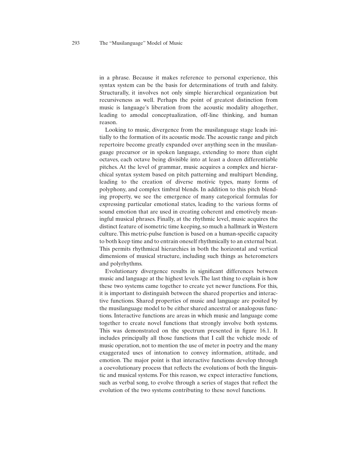in a phrase. Because it makes reference to personal experience, this syntax system can be the basis for determinations of truth and falsity. Structurally, it involves not only simple hierarchical organization but recursiveness as well. Perhaps the point of greatest distinction from music is language's liberation from the acoustic modality altogether, leading to amodal conceptualization, off-line thinking, and human reason.

Looking to music, divergence from the musilanguage stage leads initially to the formation of its acoustic mode. The acoustic range and pitch repertoire become greatly expanded over anything seen in the musilanguage precursor or in spoken language, extending to more than eight octaves, each octave being divisible into at least a dozen differentiable pitches. At the level of grammar, music acquires a complex and hierarchical syntax system based on pitch patterning and multipart blending, leading to the creation of diverse motivic types, many forms of polyphony, and complex timbral blends. In addition to this pitch blending property, we see the emergence of many categorical formulas for expressing particular emotional states, leading to the various forms of sound emotion that are used in creating coherent and emotively meaningful musical phrases. Finally, at the rhythmic level, music acquires the distinct feature of isometric time keeping, so much a hallmark in Western culture. This metric-pulse function is based on a human-specific capacity to both keep time and to entrain oneself rhythmically to an external beat. This permits rhythmical hierarchies in both the horizontal and vertical dimensions of musical structure, including such things as heterometers and polyrhythms.

Evolutionary divergence results in significant differences between music and language at the highest levels. The last thing to explain is how these two systems came together to create yet newer functions. For this, it is important to distinguish between the shared properties and interactive functions. Shared properties of music and language are posited by the musilanguage model to be either shared ancestral or analogous functions. Interactive functions are areas in which music and language come together to create novel functions that strongly involve both systems. This was demonstrated on the spectrum presented in figure 16.1. It includes principally all those functions that I call the vehicle mode of music operation, not to mention the use of meter in poetry and the many exaggerated uses of intonation to convey information, attitude, and emotion. The major point is that interactive functions develop through a coevolutionary process that reflects the evolutions of both the linguistic and musical systems. For this reason, we expect interactive functions, such as verbal song, to evolve through a series of stages that reflect the evolution of the two systems contributing to these novel functions.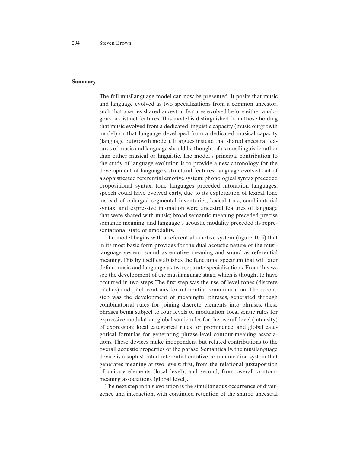# **Summary**

The full musilanguage model can now be presented. It posits that music and language evolved as two specializations from a common ancestor, such that a series shared ancestral features evolved before either analogous or distinct features. This model is distinguished from those holding that music evolved from a dedicated linguistic capacity (music outgrowth model) or that language developed from a dedicated musical capacity (language outgrowth model). It argues instead that shared ancestral features of music and language should be thought of as musilinguistic rather than either musical or linguistic. The model's principal contribution to the study of language evolution is to provide a new chronology for the development of language's structural features: language evolved out of a sophisticated referential emotive system; phonological syntax preceded propositional syntax; tone languages preceded intonation languages; speech could have evolved early, due to its exploitation of lexical tone instead of enlarged segmental inventories; lexical tone, combinatorial syntax, and expressive intonation were ancestral features of language that were shared with music; broad semantic meaning preceded precise semantic meaning; and language's acoustic modality preceded its representational state of amodality.

The model begins with a referential emotive system (figure 16.5) that in its most basic form provides for the dual acoustic nature of the musilanguage system: sound as emotive meaning and sound as referential meaning. This by itself establishes the functional spectrum that will later define music and language as two separate specializations. From this we see the development of the musilanguage stage, which is thought to have occurred in two steps. The first step was the use of level tones (discrete pitches) and pitch contours for referential communication. The second step was the development of meaningful phrases, generated through combinatorial rules for joining discrete elements into phrases, these phrases being subject to four levels of modulation: local sentic rules for expressive modulation; global sentic rules for the overall level (intensity) of expression; local categorical rules for prominence; and global categorical formulas for generating phrase-level contour-meaning associations. These devices make independent but related contributions to the overall acoustic properties of the phrase. Semantically, the musilanguage device is a sophisticated referential emotive communication system that generates meaning at two levels: first, from the relational juxtaposition of unitary elements (local level), and second, from overall contourmeaning associations (global level).

The next step in this evolution is the simultaneous occurrence of divergence and interaction, with continued retention of the shared ancestral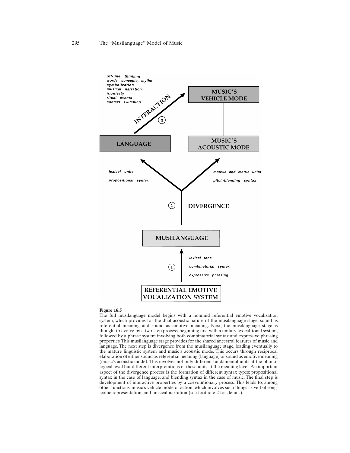

#### **Figure 16.5**

The full musilanguage model begins with a hominid referential emotive vocalization system, which provides for the dual acoustic nature of the musilanguage stage: sound as referential meaning and sound as emotive meaning. Next, the musilanguage stage is thought to evolve by a two-step process, beginning first with a unitary lexical-tonal system, followed by a phrase system involving both combinatorial syntax and expressive phrasing properties.This musilanguage stage provides for the shared ancestral features of music and language. The next step is divergence from the musilanguage stage, leading eventually to the mature linguistic system and music's acoustic mode. This occurs through reciprocal elaboration of either sound as referential meaning (language) or sound as emotive meaning (music's acoustic mode). This involves not only different fundamental units at the phonological level but different interpretations of these units at the meaning level. An important aspect of the divergence process is the formation of different syntax types: propositional syntax in the case of language, and blending syntax in the case of music. The final step is development of interactive properties by a coevolutionary process. This leads to, among other functions, music's vehicle mode of action, which involves such things as verbal song, iconic representation, and musical narration (see footnote 2 for details).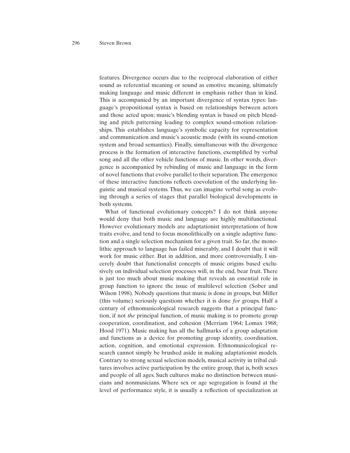features. Divergence occurs due to the reciprocal elaboration of either sound as referential meaning or sound as emotive meaning, ultimately making language and music different in emphasis rather than in kind. This is accompanied by an important divergence of syntax types: language's propositional syntax is based on relationships between actors and those acted upon; music's blending syntax is based on pitch blending and pitch patterning leading to complex sound-emotion relationships. This establishes language's symbolic capacity for representation and communication and music's acoustic mode (with its sound-emotion system and broad semantics). Finally, simultaneous with the divergence process is the formation of interactive functions, exemplified by verbal song and all the other vehicle functions of music. In other words, divergence is accompanied by rebinding of music and language in the form of novel functions that evolve parallel to their separation.The emergence of these interactive functions reflects coevolution of the underlying linguistic and musical systems. Thus, we can imagine verbal song as evolving through a series of stages that parallel biological developments in both systems.

What of functional evolutionary concepts? I do not think anyone would deny that both music and language are highly multifunctional. However evolutionary models are adaptationist interpretations of how traits evolve, and tend to focus monolithically on a single adaptive function and a single selection mechanism for a given trait. So far, the monolithic approach to language has failed miserably, and I doubt that it will work for music either. But in addition, and more controversially, I sincerely doubt that functionalist concepts of music origins based exclusively on individual selection processes will, in the end, bear fruit. There is just too much about music making that reveals an essential role in group function to ignore the issue of multilevel selection (Sober and Wilson 1998). Nobody questions that music is done in groups, but Miller (this volume) seriously questions whether it is done *for* groups. Half a century of ethnomusicological research suggests that a principal function, if not *the* principal function, of music making is to promote group cooperation, coordination, and cohesion (Merriam 1964; Lomax 1968; Hood 1971). Music making has all the hallmarks of a group adaptation and functions as a device for promoting group identity, coordination, action, cognition, and emotional expression. Ethnomusicological research cannot simply be brushed aside in making adaptationist models. Contrary to strong sexual selection models, musical activity in tribal cultures involves active participation by the entire group, that is, both sexes and people of all ages. Such cultures make no distinction between musicians and nonmusicians. Where sex or age segregation is found at the level of performance style, it is usually a reflection of specialization at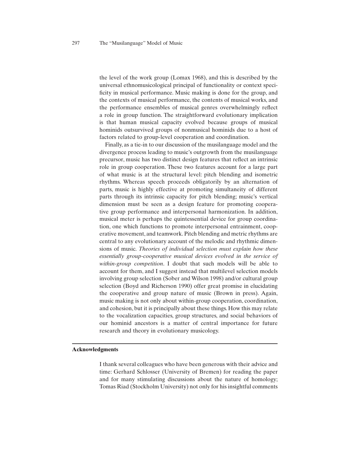the level of the work group (Lomax 1968), and this is described by the universal ethnomusicological principal of functionality or context specificity in musical performance. Music making is done for the group, and the contexts of musical performance, the contents of musical works, and the performance ensembles of musical genres overwhelmingly reflect a role in group function. The straightforward evolutionary implication is that human musical capacity evolved because groups of musical hominids outsurvived groups of nonmusical hominids due to a host of factors related to group-level cooperation and coordination.

Finally, as a tie-in to our discussion of the musilanguage model and the divergence process leading to music's outgrowth from the musilanguage precursor, music has two distinct design features that reflect an intrinsic role in group cooperation. These two features account for a large part of what music is at the structural level: pitch blending and isometric rhythms. Whereas speech proceeds obligatorily by an alternation of parts, music is highly effective at promoting simultaneity of different parts through its intrinsic capacity for pitch blending; music's vertical dimension must be seen as a design feature for promoting cooperative group performance and interpersonal harmonization. In addition, musical meter is perhaps the quintessential device for group coordination, one which functions to promote interpersonal entrainment, cooperative movement, and teamwork. Pitch blending and metric rhythms are central to any evolutionary account of the melodic and rhythmic dimensions of music. *Theories of individual selection must explain how these essentially group-cooperative musical devices evolved in the service of within-group competition*. I doubt that such models will be able to account for them, and I suggest instead that multilevel selection models involving group selection (Sober and Wilson 1998) and/or cultural group selection (Boyd and Richerson 1990) offer great promise in elucidating the cooperative and group nature of music (Brown in press). Again, music making is not only about within-group cooperation, coordination, and cohesion, but it is principally about these things. How this may relate to the vocalization capacities, group structures, and social behaviors of our hominid ancestors is a matter of central importance for future research and theory in evolutionary musicology.

# **Acknowledgments**

I thank several colleagues who have been generous with their advice and time: Gerhard Schlosser (University of Bremen) for reading the paper and for many stimulating discussions about the nature of homology; Tomas Riad (Stockholm University) not only for his insightful comments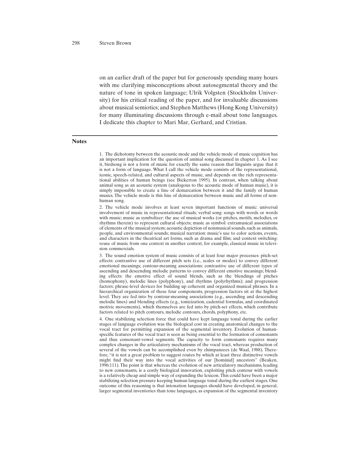on an earlier draft of the paper but for generously spending many hours with me clarifying misconceptions about autosegmental theory and the nature of tone in spoken language; Ulrik Volgsten (Stockholm University) for his critical reading of the paper, and for invaluable discussions about musical semiotics; and Stephen Matthews (Hong Kong University) for many illuminating discussions through e-mail about tone languages. I dedicate this chapter to Mari Mar, Gerhard, and Cristian.

# **Notes**

1. The dichotomy between the acoustic mode and the vehicle mode of music cognition has an important implication for the question of animal song discussed in chapter 1. As I see it, birdsong is not a form of music for exactly the same reason that linguists argue that it is not a form of language. What I call the vehicle mode consists of the representational, iconic, speech-related, and cultural aspects of music, and depends on the rich representational abilities of human beings (see Bickerton 1995). In contrast, when talking about animal song as an acoustic system (analogous to the acoustic mode of human music), it is simply impossible to create a line of demarcation between it and the family of human musics. The vehicle mode is this line of demarcation between music and all forms of nonhuman song.

3. The sound emotion system of music consists of at least four major processes: pitch-set effects: contrastive use of different pitch sets (i.e., scales or modes) to convey different emotional meanings; contour-meaning associations: contrastive use of different types of ascending and descending melodic patterns to convey different emotive meanings; blending effects: the emotive effect of sound blends, such as the blendings of pitches (homophony), melodic lines (polyphony), and rhythms (polyrhythms); and progression factors: phrase-level devices for building up coherent and organized musical phrases. In a hierarchical organization of these four components, progression factors sit at the highest level. They are fed into by contour-meaning associations (e.g., ascending and descending melodic lines) and blending effects (e.g., tonicization, cadential formulas, and coordinated motivic movements), which themselves are fed into by pitch-set effects, which contribute factors related to pitch contours, melodic contours, chords, polyphony, etc.

4. One stabilizing selection force that could have kept language tonal during the earlier stages of language evolution was the biological cost in creating anatomical changes to the vocal tract for permitting expansion of the segmental inventory. Evolution of humanspecific features of the vocal tract is seen as being essential to the formation of consonants and thus consonant-vowel segments. The capacity to form consonants requires many complex changes in the articulatory mechanisms of the vocal tract, whereas production of several of the vowels can be accomplished even by chimpanzees (de Waal, 1988). Therefore, "it is not a great problem to suggest routes by which at least three distinctive vowels might find their way into the vocal activities of our [hominid] ancestors" (Beaken, 1996:111). The point is that whereas the evolution of new articulatory mechanisms, leading to new consonants, is a costly biological innovation, exploiting pitch contour with vowels is a relatively cheap and simple way of expanding the lexicon.This could have been a major stabilizing selection pressure keeping human language tonal during the earliest stages. One outcome of this reasoning is that intonation languages should have developed, in general, larger segmental inventories than tone languages, as expansion of the segmental inventory

<sup>2.</sup> The vehicle mode involves at least seven important functions of music: universal involvement of music in representational rituals; verbal song: songs with words or words with music; music as symbolizer: the use of musical works (or pitches, motifs, melodies, or rhythms therein) to represent cultural objects; music as symbol: extramusical associations of elements of the musical system; acoustic depiction of nonmusical sounds, such as animals, people, and environmental sounds; musical narration: music's use to color actions, events, and characters in the theatrical art forms, such as drama and film; and context switching: reuse of music from one context in another context, for example, classical music in television commercials.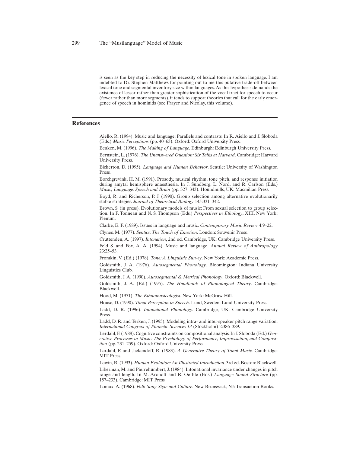is seen as the key step in reducing the necessity of lexical tone in spoken language. I am indebted to Dr. Stephen Matthews for pointing out to me this putative trade-off between lexical tone and segmental inventory size within languages.As this hypothesis demands the existence of lesser rather than greater sophistication of the vocal tract for speech to occur (fewer rather than more segments), it tends to support theories that call for the early emergence of speech in hominids (see Frayer and Nicolay, this volume).

#### **References**

Aiello, R. (1994). Music and language: Parallels and contrasts. In R. Aiello and J. Sloboda (Eds.) *Music Perceptions* (pp. 40–63). Oxford: Oxford University Press.

Beaken, M. (1996). *The Making of Language*. Edinburgh: Edinburgh University Press.

Bernstein, L. (1976). *The Unanswered Question: Six Talks at Harvard*. Cambridge: Harvard University Press.

Bickerton, D. (1995). *Language and Human Behavior*. Seattle: University of Washington Press.

Borchgrevink, H. M. (1991). Prosody, musical rhythm, tone pitch, and response initiation during amytal hemisphere anaesthesia. In J. Sundberg, L. Nord, and R. Carlson (Eds.) *Music, Language, Speech and Brain* (pp. 327–343). Houndmills, UK: Macmillan Press.

Boyd, R. and Richerson, P. J. (1990). Group selection among alternative evolutionarily stable strategies. *Journal of Theoretical Biology* 145:331–342.

Brown, S. (in press). Evolutionary models of music: From sexual selection to group selection. In F. Tonneau and N. S. Thompson (Eds.) *Perspectives in Ethology*, XIII. New York: Plenum.

Clarke, E. F. (1989). Issues in language and music. *Contemporary Music Review* 4:9–22. Clynes, M. (1977). *Sentics: The Touch of Emotion*. London: Souvenir Press.

Cruttenden, A. (1997). *Intonation*, 2nd ed. Cambridge, UK: Cambridge University Press.

Feld S. and Fox, A. A. (1994). Music and language. *Annual Review of Anthropology* 23:25–53.

Fromkin, V. (Ed.) (1978). *Tone: A Linguistic Survey*. New York: Academic Press.

Goldsmith, J. A. (1976). *Autosegmental Phonology*. Bloomington: Indiana University Linguistics Club.

Goldsmith, J. A. (1990). *Autosegmental & Metrical Phonology*. Oxford: Blackwell.

Goldsmith, J. A. (Ed.) (1995). *The Handbook of Phonological Theory*. Cambridge: Blackwell.

Hood, M. (1971). *The Ethnomusicologist*. New York: McGraw-Hill.

House, D. (1990). *Tonal Perception in Speech*. Lund, Sweden: Lund University Press.

Ladd, D. R. (1996). *Intonational Phonology*. Cambridge, UK: Cambridge University Press.

Ladd, D. R. and Terken, J. (1995). Modeling intra- and inter-speaker pitch range variation. *International Congress of Phonetic Sciences 13* (Stockholm) 2:386–389.

Lerdahl, F. (1988). Cognitive constraints on compositional analysis. In J. Sloboda (Ed.) *Generative Processes in Music: The Psychology of Performance, Improvisation, and Composition* (pp. 231–259). Oxford: Oxford University Press.

Lerdahl, F. and Jackendoff, R. (1983). *A Generative Theory of Tonal Music.* Cambridge: MIT Press.

Lewin, R. (1993). *Human Evolution: An Illustrated Introduction*, 3rd ed. Boston: Blackwell. Liberman, M. and Pierrehumbert, J. (1984). Intonational invariance under changes in pitch range and length. In M. Aronoff and R. Oerhle (Eds.) *Language Sound Structure* (pp. 157–233). Cambridge: MIT Press.

Lomax, A. (1968). *Folk Song Style and Culture*. New Brunswick, NJ: Transaction Books.